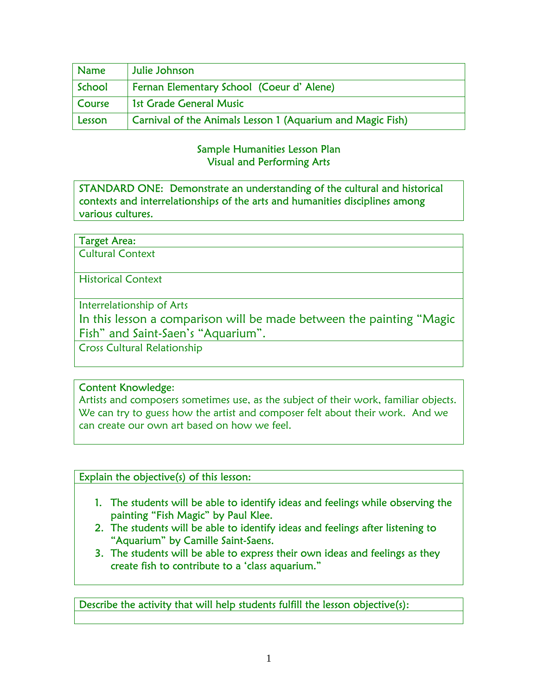| <b>Name</b> | Julie Johnson                                              |
|-------------|------------------------------------------------------------|
| ' School    | Fernan Elementary School (Coeur d'Alene)                   |
| Course      | 1st Grade General Music                                    |
| Lesson      | Carnival of the Animals Lesson 1 (Aquarium and Magic Fish) |

### Sample Humanities Lesson Plan Visual and Performing Arts

STANDARD ONE: Demonstrate an understanding of the cultural and historical contexts and interrelationships of the arts and humanities disciplines among various cultures.

| <b>Target Area:</b> |
|---------------------|
|---------------------|

Cultural Context

Historical Context

Interrelationship of Arts

In this lesson a comparison will be made between the painting "Magic Fish" and Saint-Saen's "Aquarium".

Cross Cultural Relationship

### Content Knowledge:

Artists and composers sometimes use, as the subject of their work, familiar objects. We can try to guess how the artist and composer felt about their work. And we can create our own art based on how we feel.

Explain the objective(s) of this lesson:

- 1. The students will be able to identify ideas and feelings while observing the painting "Fish Magic" by Paul Klee.
- 2. The students will be able to identify ideas and feelings after listening to "Aquarium" by Camille Saint-Saens.
- 3. The students will be able to express their own ideas and feelings as they create fish to contribute to a 'class aquarium."

Describe the activity that will help students fulfill the lesson objective(s):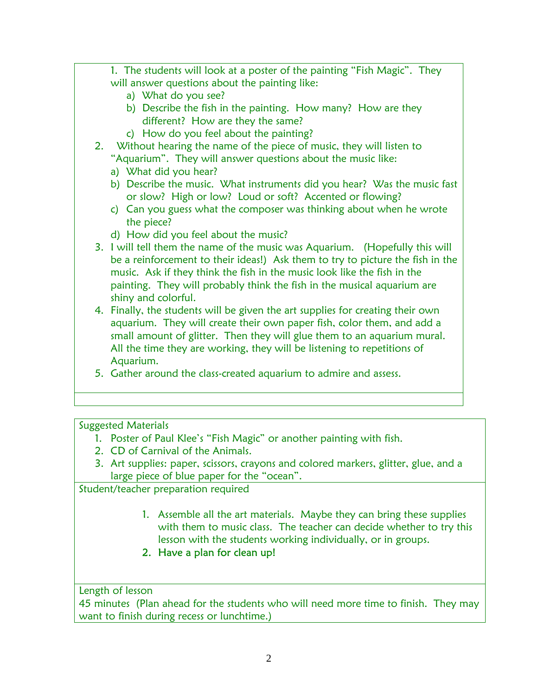- 1. The students will look at a poster of the painting "Fish Magic". They will answer questions about the painting like: a) What do you see?
	- b) Describe the fish in the painting. How many? How are they different? How are they the same?
	- c) How do you feel about the painting?
- 2. Without hearing the name of the piece of music, they will listen to "Aquarium". They will answer questions about the music like:
	- a) What did you hear?
	- b) Describe the music. What instruments did you hear? Was the music fast or slow? High or low? Loud or soft? Accented or flowing?
	- c) Can you guess what the composer was thinking about when he wrote the piece?
	- d) How did you feel about the music?
- 3. I will tell them the name of the music was Aquarium. (Hopefully this will be a reinforcement to their ideas!) Ask them to try to picture the fish in the music. Ask if they think the fish in the music look like the fish in the painting. They will probably think the fish in the musical aquarium are shiny and colorful.
- 4. Finally, the students will be given the art supplies for creating their own aquarium. They will create their own paper fish, color them, and add a small amount of glitter. Then they will glue them to an aquarium mural. All the time they are working, they will be listening to repetitions of Aquarium.
- 5. Gather around the class-created aquarium to admire and assess.

Suggested Materials

- 1. Poster of Paul Klee's "Fish Magic" or another painting with fish.
- 2. CD of Carnival of the Animals.
- 3. Art supplies: paper, scissors, crayons and colored markers, glitter, glue, and a large piece of blue paper for the "ocean".

Student/teacher preparation required

- 1. Assemble all the art materials. Maybe they can bring these supplies with them to music class. The teacher can decide whether to try this lesson with the students working individually, or in groups.
- 2. Have a plan for clean up!

Length of lesson

45 minutes (Plan ahead for the students who will need more time to finish. They may want to finish during recess or lunchtime.)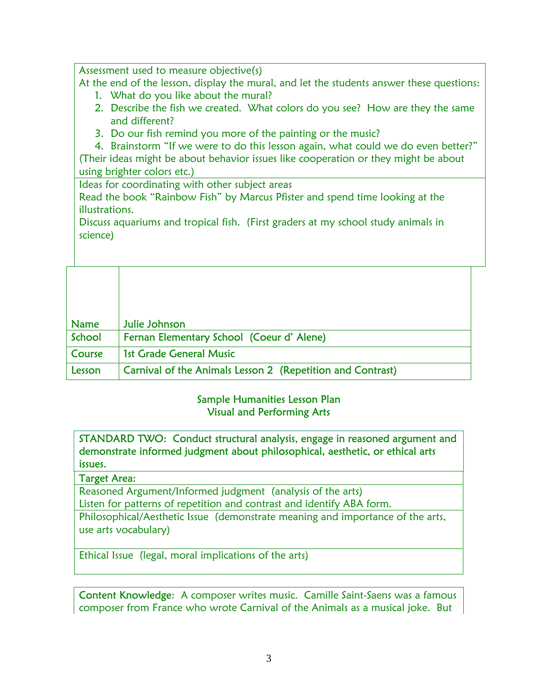Assessment used to measure objective(s)

At the end of the lesson, display the mural, and let the students answer these questions:

- 1. What do you like about the mural?
- 2. Describe the fish we created. What colors do you see? How are they the same and different?
- 3. Do our fish remind you more of the painting or the music?

4. Brainstorm "If we were to do this lesson again, what could we do even better?" (Their ideas might be about behavior issues like cooperation or they might be about using brighter colors etc.)

Ideas for coordinating with other subject areas

Read the book "Rainbow Fish" by Marcus Pfister and spend time looking at the illustrations.

Discuss aquariums and tropical fish. (First graders at my school study animals in science)

| <b>Name</b> | Julie Johnson                                                     |
|-------------|-------------------------------------------------------------------|
| School      | Fernan Elementary School (Coeur d'Alene)                          |
| Course      | <b>1st Grade General Music</b>                                    |
| Lesson      | <b>Carnival of the Animals Lesson 2 (Repetition and Contrast)</b> |

### Sample Humanities Lesson Plan Visual and Performing Arts

STANDARD TWO: Conduct structural analysis, engage in reasoned argument and demonstrate informed judgment about philosophical, aesthetic, or ethical arts issues.

### Target Area:

Reasoned Argument/Informed judgment (analysis of the arts)

Listen for patterns of repetition and contrast and identify ABA form.

Philosophical/Aesthetic Issue (demonstrate meaning and importance of the arts, use arts vocabulary)

Ethical Issue (legal, moral implications of the arts)

Content Knowledge: A composer writes music. Camille Saint-Saens was a famous composer from France who wrote Carnival of the Animals as a musical joke. But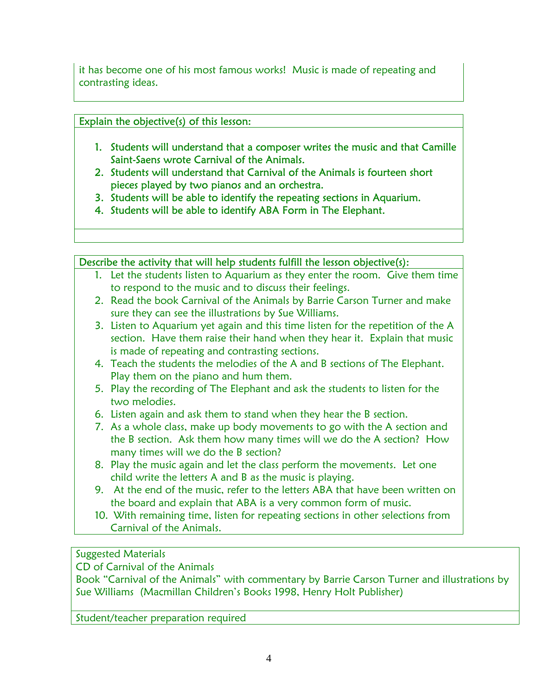it has become one of his most famous works! Music is made of repeating and contrasting ideas.

# Explain the objective(s) of this lesson:

- 1. Students will understand that a composer writes the music and that Camille Saint-Saens wrote Carnival of the Animals.
- 2. Students will understand that Carnival of the Animals is fourteen short pieces played by two pianos and an orchestra.
- 3. Students will be able to identify the repeating sections in Aquarium.
- 4. Students will be able to identify ABA Form in The Elephant.

# Describe the activity that will help students fulfill the lesson objective(s):

- 1. Let the students listen to Aquarium as they enter the room. Give them time to respond to the music and to discuss their feelings.
- 2. Read the book Carnival of the Animals by Barrie Carson Turner and make sure they can see the illustrations by Sue Williams.
- 3. Listen to Aquarium yet again and this time listen for the repetition of the A section. Have them raise their hand when they hear it. Explain that music is made of repeating and contrasting sections.
- 4. Teach the students the melodies of the A and B sections of The Elephant. Play them on the piano and hum them.
- 5. Play the recording of The Elephant and ask the students to listen for the two melodies.
- 6. Listen again and ask them to stand when they hear the B section.
- 7. As a whole class, make up body movements to go with the A section and the B section. Ask them how many times will we do the A section? How many times will we do the B section?
- 8. Play the music again and let the class perform the movements. Let one child write the letters A and B as the music is playing.
- 9. At the end of the music, refer to the letters ABA that have been written on the board and explain that ABA is a very common form of music.
- 10. With remaining time, listen for repeating sections in other selections from Carnival of the Animals.

# Suggested Materials

CD of Carnival of the Animals

Book "Carnival of the Animals" with commentary by Barrie Carson Turner and illustrations by Sue Williams (Macmillan Children's Books 1998, Henry Holt Publisher)

Student/teacher preparation required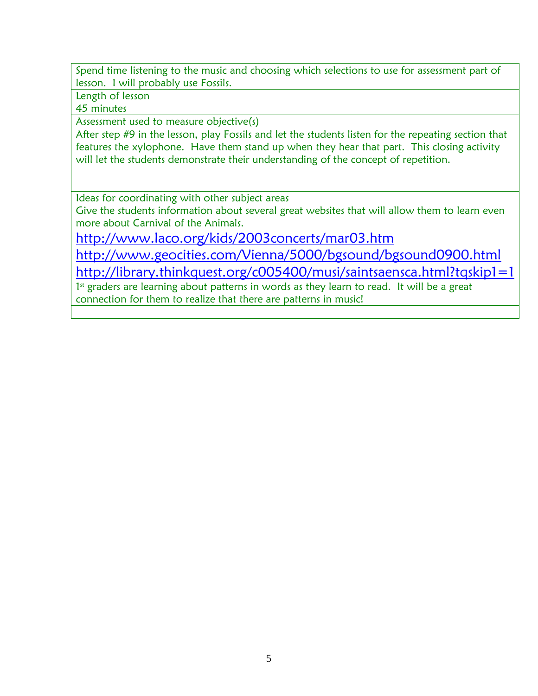Spend time listening to the music and choosing which selections to use for assessment part of lesson. I will probably use Fossils.

Length of lesson

45 minutes

Assessment used to measure objective(s)

After step #9 in the lesson, play Fossils and let the students listen for the repeating section that features the xylophone. Have them stand up when they hear that part. This closing activity will let the students demonstrate their understanding of the concept of repetition.

Ideas for coordinating with other subject areas

Give the students information about several great websites that will allow them to learn even more about Carnival of the Animals.

<http://www.laco.org/kids/2003concerts/mar03.htm>

<http://www.geocities.com/Vienna/5000/bgsound/bgsound0900.html>

<http://library.thinkquest.org/c005400/musi/saintsaensca.html?tqskip1=1>

1<sup>st</sup> graders are learning about patterns in words as they learn to read. It will be a great connection for them to realize that there are patterns in music!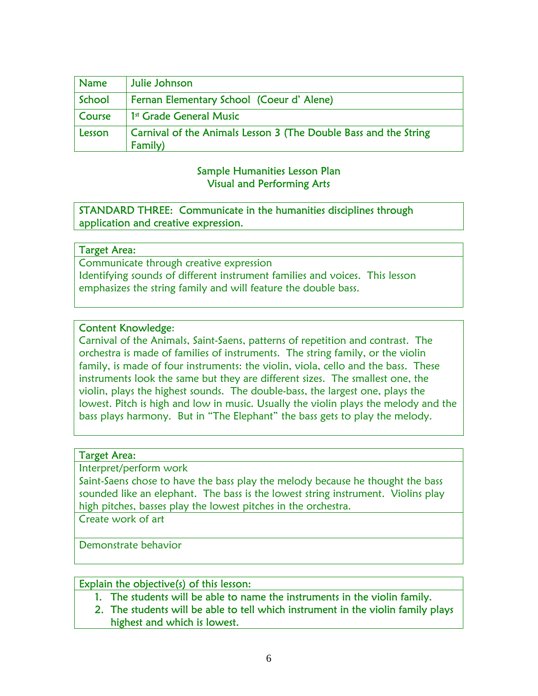| <b>Name</b>   | Julie Johnson                                                                      |
|---------------|------------------------------------------------------------------------------------|
| School        | Fernan Elementary School (Coeur d'Alene)                                           |
| <b>Course</b> | 1 <sup>st</sup> Grade General Music                                                |
| Lesson        | <b>Carnival of the Animals Lesson 3 (The Double Bass and the String</b><br>Family) |

#### Sample Humanities Lesson Plan Visual and Performing Arts

STANDARD THREE: Communicate in the humanities disciplines through application and creative expression.

### Target Area:

Communicate through creative expression Identifying sounds of different instrument families and voices. This lesson emphasizes the string family and will feature the double bass.

### Content Knowledge:

Carnival of the Animals, Saint-Saens, patterns of repetition and contrast. The orchestra is made of families of instruments. The string family, or the violin family, is made of four instruments: the violin, viola, cello and the bass. These instruments look the same but they are different sizes. The smallest one, the violin, plays the highest sounds. The double-bass, the largest one, plays the lowest. Pitch is high and low in music. Usually the violin plays the melody and the bass plays harmony. But in "The Elephant" the bass gets to play the melody.

#### Target Area:

Interpret/perform work

Saint-Saens chose to have the bass play the melody because he thought the bass sounded like an elephant. The bass is the lowest string instrument. Violins play high pitches, basses play the lowest pitches in the orchestra.

Create work of art

Demonstrate behavior

#### Explain the objective(s) of this lesson:

- 1. The students will be able to name the instruments in the violin family.
- 2. The students will be able to tell which instrument in the violin family plays highest and which is lowest.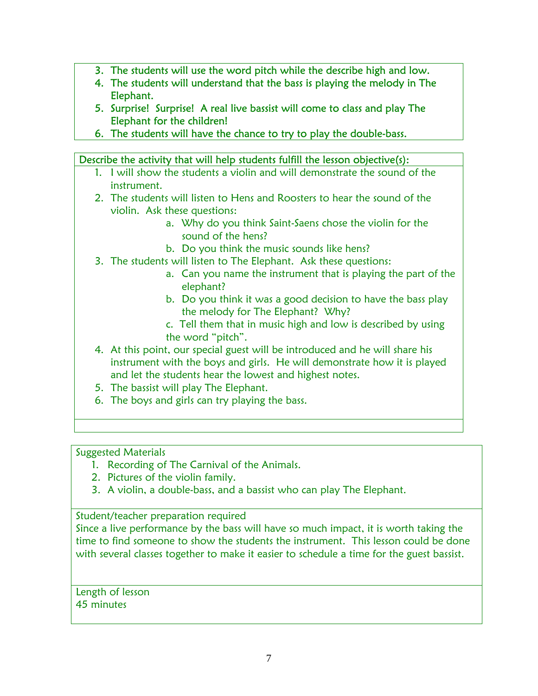- 3. The students will use the word pitch while the describe high and low.
- 4. The students will understand that the bass is playing the melody in The Elephant.
- 5. Surprise! Surprise! A real live bassist will come to class and play The Elephant for the children!
- 6. The students will have the chance to try to play the double-bass.

### Describe the activity that will help students fulfill the lesson objective(s):

- 1. I will show the students a violin and will demonstrate the sound of the instrument.
- 2. The students will listen to Hens and Roosters to hear the sound of the violin. Ask these questions:
	- a. Why do you think Saint-Saens chose the violin for the sound of the hens?
	- b. Do you think the music sounds like hens?
- 3. The students will listen to The Elephant. Ask these questions:
	- a. Can you name the instrument that is playing the part of the elephant?
	- b. Do you think it was a good decision to have the bass play the melody for The Elephant? Why?
	- c. Tell them that in music high and low is described by using the word "pitch".
- 4. At this point, our special guest will be introduced and he will share his instrument with the boys and girls. He will demonstrate how it is played and let the students hear the lowest and highest notes.
- 5. The bassist will play The Elephant.
- 6. The boys and girls can try playing the bass.

# Suggested Materials

- 1. Recording of The Carnival of the Animals.
- 2. Pictures of the violin family.
- 3. A violin, a double-bass, and a bassist who can play The Elephant.

# Student/teacher preparation required

Since a live performance by the bass will have so much impact, it is worth taking the time to find someone to show the students the instrument. This lesson could be done with several classes together to make it easier to schedule a time for the guest bassist.

Length of lesson 45 minutes